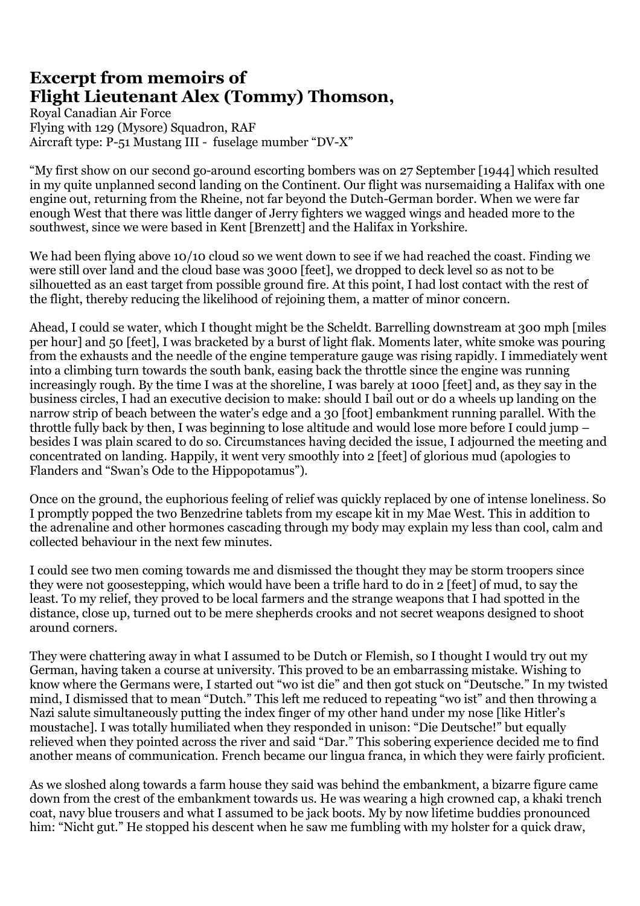## **Excerpt from memoirs of Flight Lieutenant Alex (Tommy) Thomson,**

Royal Canadian Air Force Flying with 129 (Mysore) Squadron, RAF Aircraft type: P-51 Mustang III - fuselage mumber "DV-X"

"My first show on our second go-around escorting bombers was on 27 September [1944] which resulted in my quite unplanned second landing on the Continent. Our flight was nursemaiding a Halifax with one engine out, returning from the Rheine, not far beyond the Dutch-German border. When we were far enough West that there was little danger of Jerry fighters we wagged wings and headed more to the southwest, since we were based in Kent [Brenzett] and the Halifax in Yorkshire.

We had been flying above 10/10 cloud so we went down to see if we had reached the coast. Finding we were still over land and the cloud base was 3000 [feet], we dropped to deck level so as not to be silhouetted as an east target from possible ground fire. At this point, I had lost contact with the rest of the flight, thereby reducing the likelihood of rejoining them, a matter of minor concern.

Ahead, I could se water, which I thought might be the Scheldt. Barrelling downstream at 300 mph [miles per hour] and 50 [feet], I was bracketed by a burst of light flak. Moments later, white smoke was pouring from the exhausts and the needle of the engine temperature gauge was rising rapidly. I immediately went into a climbing turn towards the south bank, easing back the throttle since the engine was running increasingly rough. By the time I was at the shoreline, I was barely at 1000 [feet] and, as they say in the business circles, I had an executive decision to make: should I bail out or do a wheels up landing on the narrow strip of beach between the water's edge and a 30 [foot] embankment running parallel. With the throttle fully back by then, I was beginning to lose altitude and would lose more before I could jump – besides I was plain scared to do so. Circumstances having decided the issue, I adjourned the meeting and concentrated on landing. Happily, it went very smoothly into 2 [feet] of glorious mud (apologies to Flanders and "Swan's Ode to the Hippopotamus").

Once on the ground, the euphorious feeling of relief was quickly replaced by one of intense loneliness. So I promptly popped the two Benzedrine tablets from my escape kit in my Mae West. This in addition to the adrenaline and other hormones cascading through my body may explain my less than cool, calm and collected behaviour in the next few minutes.

I could see two men coming towards me and dismissed the thought they may be storm troopers since they were not goosestepping, which would have been a trifle hard to do in 2 [feet] of mud, to say the least. To my relief, they proved to be local farmers and the strange weapons that I had spotted in the distance, close up, turned out to be mere shepherds crooks and not secret weapons designed to shoot around corners.

They were chattering away in what I assumed to be Dutch or Flemish, so I thought I would try out my German, having taken a course at university. This proved to be an embarrassing mistake. Wishing to know where the Germans were, I started out "wo ist die" and then got stuck on "Deutsche." In my twisted mind, I dismissed that to mean "Dutch." This left me reduced to repeating "wo ist" and then throwing a Nazi salute simultaneously putting the index finger of my other hand under my nose [like Hitler's moustache]. I was totally humiliated when they responded in unison: "Die Deutsche!" but equally relieved when they pointed across the river and said "Dar." This sobering experience decided me to find another means of communication. French became our lingua franca, in which they were fairly proficient.

As we sloshed along towards a farm house they said was behind the embankment, a bizarre figure came down from the crest of the embankment towards us. He was wearing a high crowned cap, a khaki trench coat, navy blue trousers and what I assumed to be jack boots. My by now lifetime buddies pronounced him: "Nicht gut." He stopped his descent when he saw me fumbling with my holster for a quick draw,